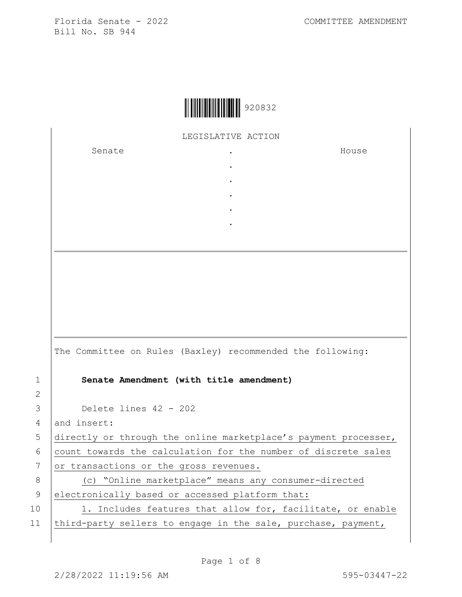|  | 920832 |
|--|--------|
|--|--------|

LEGISLATIVE ACTION

. . . . .

Senate the senate of the senate  $\cdot$ 

House

|    | The Committee on Rules (Baxley) recommended the following:      |
|----|-----------------------------------------------------------------|
| 1  | Senate Amendment (with title amendment)                         |
| 2  |                                                                 |
| 3  | Delete lines $42 - 202$                                         |
| 4  | and insert:                                                     |
| 5  | directly or through the online marketplace's payment processer, |
| 6  | count towards the calculation for the number of discrete sales  |
| 7  | or transactions or the gross revenues.                          |
| 8  | (c) "Online marketplace" means any consumer-directed            |
| 9  | electronically based or accessed platform that:                 |
| 10 | 1. Includes features that allow for, facilitate, or enable      |
| 11 | third-party sellers to engage in the sale, purchase, payment,   |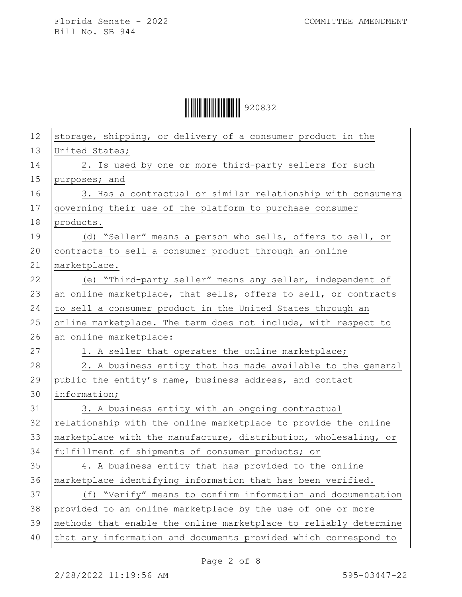| 12 | storage, shipping, or delivery of a consumer product in the      |
|----|------------------------------------------------------------------|
| 13 | United States;                                                   |
| 14 | 2. Is used by one or more third-party sellers for such           |
| 15 | purposes; and                                                    |
| 16 | 3. Has a contractual or similar relationship with consumers      |
| 17 | governing their use of the platform to purchase consumer         |
| 18 | products.                                                        |
| 19 | (d) "Seller" means a person who sells, offers to sell, or        |
| 20 | contracts to sell a consumer product through an online           |
| 21 | marketplace.                                                     |
| 22 | (e) "Third-party seller" means any seller, independent of        |
| 23 | an online marketplace, that sells, offers to sell, or contracts  |
| 24 | to sell a consumer product in the United States through an       |
| 25 | online marketplace. The term does not include, with respect to   |
| 26 | an online marketplace:                                           |
| 27 | 1. A seller that operates the online marketplace;                |
| 28 | 2. A business entity that has made available to the general      |
| 29 | public the entity's name, business address, and contact          |
| 30 | information;                                                     |
| 31 | 3. A business entity with an ongoing contractual                 |
| 32 | relationship with the online marketplace to provide the online   |
| 33 | marketplace with the manufacture, distribution, wholesaling, or  |
| 34 | fulfillment of shipments of consumer products; or                |
| 35 | 4. A business entity that has provided to the online             |
| 36 | marketplace identifying information that has been verified.      |
| 37 | (f) "Verify" means to confirm information and documentation      |
| 38 | provided to an online marketplace by the use of one or more      |
| 39 | methods that enable the online marketplace to reliably determine |
| 40 | that any information and documents provided which correspond to  |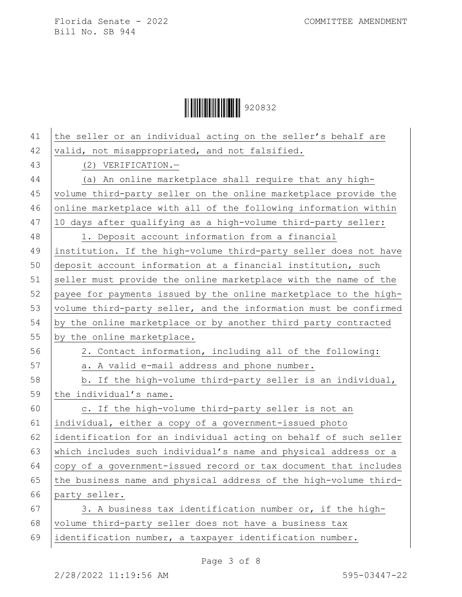| 41 | the seller or an individual acting on the seller's behalf are    |
|----|------------------------------------------------------------------|
| 42 | valid, not misappropriated, and not falsified.                   |
| 43 | $(2)$ VERIFICATION. -                                            |
| 44 | (a) An online marketplace shall require that any high-           |
| 45 | volume third-party seller on the online marketplace provide the  |
| 46 | online marketplace with all of the following information within  |
| 47 | 10 days after qualifying as a high-volume third-party seller:    |
| 48 | 1. Deposit account information from a financial                  |
| 49 | institution. If the high-volume third-party seller does not have |
| 50 | deposit account information at a financial institution, such     |
| 51 | seller must provide the online marketplace with the name of the  |
| 52 | payee for payments issued by the online marketplace to the high- |
| 53 | volume third-party seller, and the information must be confirmed |
| 54 | by the online marketplace or by another third party contracted   |
| 55 | by the online marketplace.                                       |
| 56 | 2. Contact information, including all of the following:          |
| 57 | a. A valid e-mail address and phone number.                      |
| 58 | b. If the high-volume third-party seller is an individual,       |
| 59 | the individual's name.                                           |
| 60 | c. If the high-volume third-party seller is not an               |
| 61 | individual, either a copy of a government-issued photo           |
| 62 | identification for an individual acting on behalf of such seller |
| 63 | which includes such individual's name and physical address or a  |
| 64 | copy of a government-issued record or tax document that includes |
| 65 | the business name and physical address of the high-volume third- |
| 66 | party seller.                                                    |
| 67 | 3. A business tax identification number or, if the high-         |
| 68 | volume third-party seller does not have a business tax           |
| 69 | identification number, a taxpayer identification number.         |
|    |                                                                  |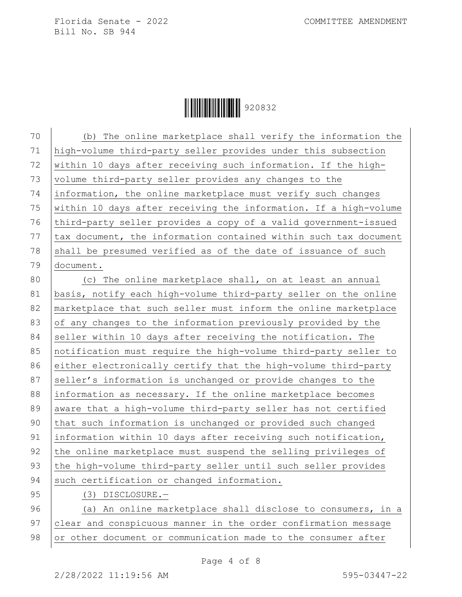**││││││││││││││││** 920832

70 (b) The online marketplace shall verify the information the 71 high-volume third-party seller provides under this subsection 72 within 10 days after receiving such information. If the high-73 volume third-party seller provides any changes to the 74 information, the online marketplace must verify such changes 75  $\vert$  within 10 days after receiving the information. If a high-volume 76 third-party seller provides a copy of a valid government-issued 77 tax document, the information contained within such tax document 78 shall be presumed verified as of the date of issuance of such 79 document.

80 (c) The online marketplace shall, on at least an annual 81 basis, notify each high-volume third-party seller on the online 82 marketplace that such seller must inform the online marketplace 83 of any changes to the information previously provided by the 84 seller within 10 days after receiving the notification. The 85 notification must require the high-volume third-party seller to 86 either electronically certify that the high-volume third-party 87 seller's information is unchanged or provide changes to the 88 information as necessary. If the online marketplace becomes 89 aware that a high-volume third-party seller has not certified 90 that such information is unchanged or provided such changed 91 information within 10 days after receiving such notification, 92 the online marketplace must suspend the selling privileges of 93 the high-volume third-party seller until such seller provides 94 such certification or changed information.

95 (3) DISCLOSURE.-

96 (a) An online marketplace shall disclose to consumers, in a 97 clear and conspicuous manner in the order confirmation message 98 or other document or communication made to the consumer after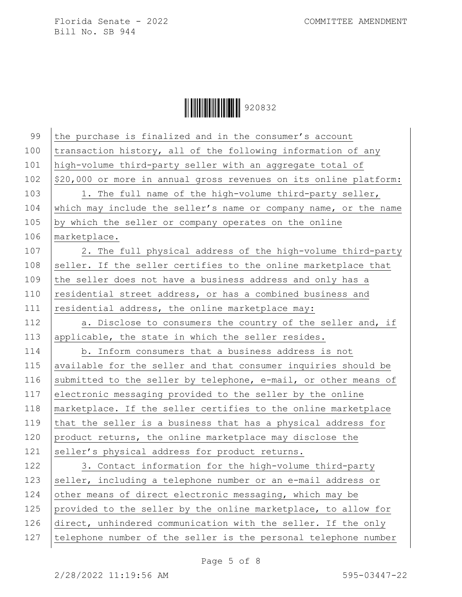| 99  | the purchase is finalized and in the consumer's account           |
|-----|-------------------------------------------------------------------|
| 100 | transaction history, all of the following information of any      |
| 101 | high-volume third-party seller with an aggregate total of         |
| 102 | \$20,000 or more in annual gross revenues on its online platform: |
| 103 | 1. The full name of the high-volume third-party seller,           |
| 104 | which may include the seller's name or company name, or the name  |
| 105 | by which the seller or company operates on the online             |
| 106 | marketplace.                                                      |
| 107 | 2. The full physical address of the high-volume third-party       |
| 108 | seller. If the seller certifies to the online marketplace that    |
| 109 | the seller does not have a business address and only has a        |
| 110 | residential street address, or has a combined business and        |
| 111 | residential address, the online marketplace may:                  |
| 112 | a. Disclose to consumers the country of the seller and, if        |
| 113 | applicable, the state in which the seller resides.                |
| 114 | b. Inform consumers that a business address is not                |
| 115 | available for the seller and that consumer inquiries should be    |
| 116 | submitted to the seller by telephone, e-mail, or other means of   |
| 117 | electronic messaging provided to the seller by the online         |
| 118 | marketplace. If the seller certifies to the online marketplace    |
| 119 | that the seller is a business that has a physical address for     |
| 120 | product returns, the online marketplace may disclose the          |
| 121 | seller's physical address for product returns.                    |
| 122 | 3. Contact information for the high-volume third-party            |
| 123 | seller, including a telephone number or an e-mail address or      |
| 124 | other means of direct electronic messaging, which may be          |
| 125 | provided to the seller by the online marketplace, to allow for    |
| 126 | direct, unhindered communication with the seller. If the only     |
| 127 | telephone number of the seller is the personal telephone number   |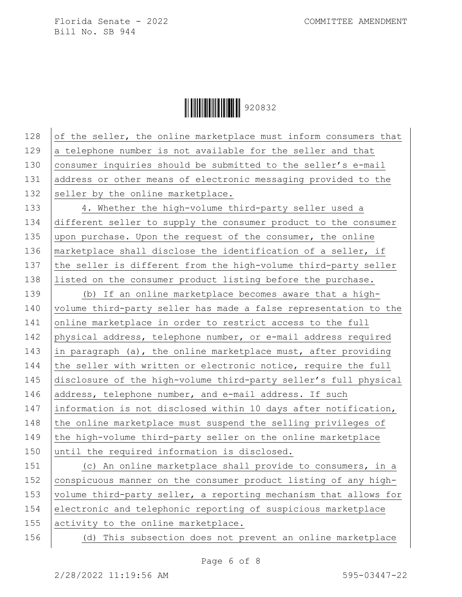**││││││││││││││││** 920832

128 of the seller, the online marketplace must inform consumers that  $129$  a telephone number is not available for the seller and that 130 consumer inquiries should be submitted to the seller's e-mail 131 address or other means of electronic messaging provided to the 132 seller by the online marketplace. 133 4. Whether the high-volume third-party seller used a

134 different seller to supply the consumer product to the consumer 135 upon purchase. Upon the request of the consumer, the online 136 | marketplace shall disclose the identification of a seller, if 137 the seller is different from the high-volume third-party seller 138 listed on the consumer product listing before the purchase.

139 (b) If an online marketplace becomes aware that a high-140 volume third-party seller has made a false representation to the 141 online marketplace in order to restrict access to the full 142 physical address, telephone number, or e-mail address required 143 in paragraph (a), the online marketplace must, after providing 144  $\vert$  the seller with written or electronic notice, require the full 145 disclosure of the high-volume third-party seller's full physical 146 address, telephone number, and e-mail address. If such 147 information is not disclosed within 10 days after notification, 148  $\vert$  the online marketplace must suspend the selling privileges of 149  $\vert$  the high-volume third-party seller on the online marketplace 150 until the required information is disclosed.

151 (c) An online marketplace shall provide to consumers, in a 152 conspicuous manner on the consumer product listing of any high-153 | volume third-party seller, a reporting mechanism that allows for 154 electronic and telephonic reporting of suspicious marketplace 155 activity to the online marketplace.

156 (d) This subsection does not prevent an online marketplace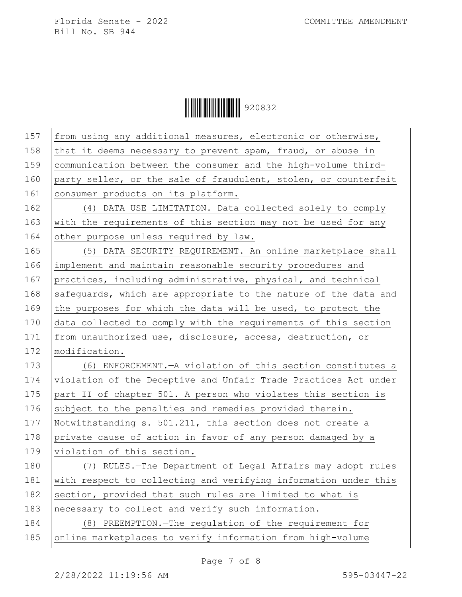| 157 | from using any additional measures, electronic or otherwise,    |
|-----|-----------------------------------------------------------------|
| 158 | that it deems necessary to prevent spam, fraud, or abuse in     |
| 159 | communication between the consumer and the high-volume third-   |
| 160 | party seller, or the sale of fraudulent, stolen, or counterfeit |
| 161 | consumer products on its platform.                              |
| 162 | (4) DATA USE LIMITATION. - Data collected solely to comply      |
| 163 | with the requirements of this section may not be used for any   |
| 164 | other purpose unless required by law.                           |
| 165 | (5) DATA SECURITY REQUIREMENT. An online marketplace shall      |
| 166 | implement and maintain reasonable security procedures and       |
| 167 | practices, including administrative, physical, and technical    |
| 168 | safeguards, which are appropriate to the nature of the data and |
| 169 | the purposes for which the data will be used, to protect the    |
| 170 | data collected to comply with the requirements of this section  |
| 171 | from unauthorized use, disclosure, access, destruction, or      |
| 172 | modification.                                                   |
| 173 | (6) ENFORCEMENT. - A violation of this section constitutes a    |
| 174 | violation of the Deceptive and Unfair Trade Practices Act under |
| 175 | part II of chapter 501. A person who violates this section is   |
| 176 | subject to the penalties and remedies provided therein.         |
| 177 | Notwithstanding s. 501.211, this section does not create a      |
| 178 | private cause of action in favor of any person damaged by a     |
| 179 | violation of this section.                                      |
| 180 | (7) RULES.-The Department of Legal Affairs may adopt rules      |
| 181 | with respect to collecting and verifying information under this |
| 182 | section, provided that such rules are limited to what is        |
| 183 | necessary to collect and verify such information.               |
| 184 | (8) PREEMPTION. - The regulation of the requirement for         |
| 185 | online marketplaces to verify information from high-volume      |
|     |                                                                 |